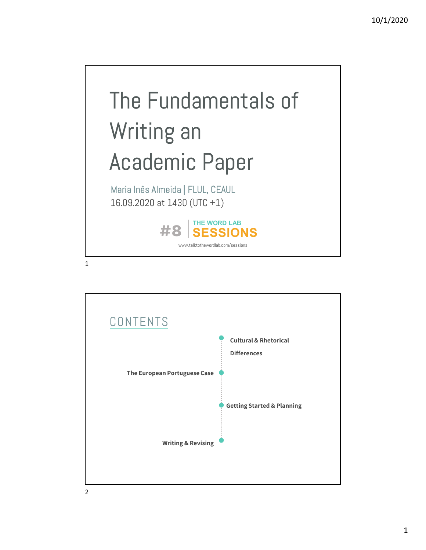

**CONTENTS** Cultural & Rhetorical Differences The European Portuguese Case Writing & Revising Getting Started & Planning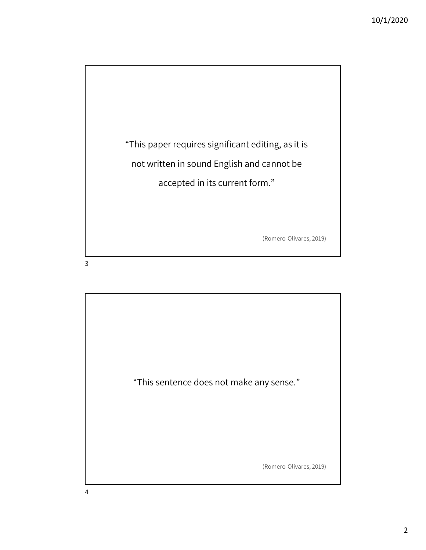

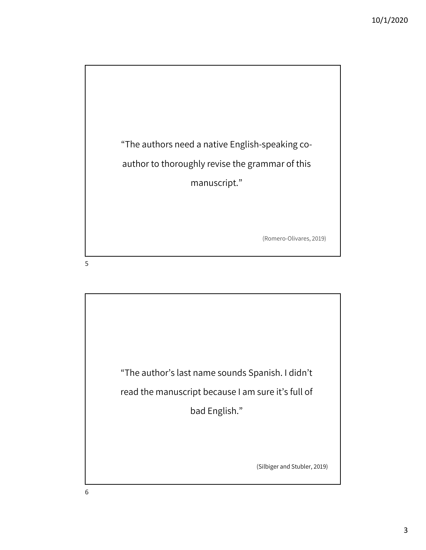

 $5<sub>5</sub>$ 

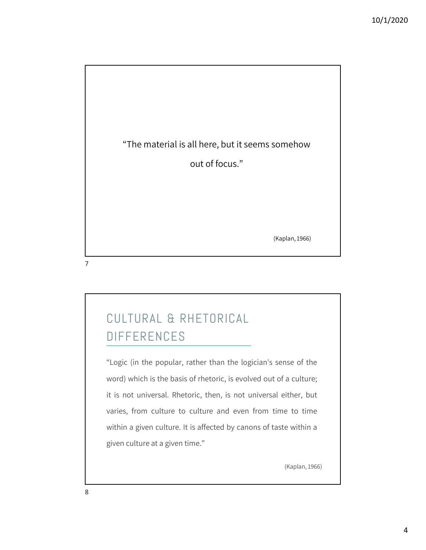

## DIFFERENCES

CULTURAL & RHETORICAL<br>DIFFERENCES<br>"Logic (in the popular, rather than the logician's sense of the<br>word) which is the basis of rhetoric, is evolved out of a culture; CULTURAL & RHETORICAL<br>DIFFERENCES<br>"Logic (in the popular, rather than the logician's sense of the<br>word) which is the basis of rhetoric, is evolved out of a culture;<br>it is not universal. Rhetoric, then, is not universal eit CULTURAL & RHETORICAL<br>
DIFFERENCES<br>
"Logic (in the popular, rather than the logician's sense of the<br>
word) which is the basis of rhetoric, is evolved out of a culture;<br>
it is not universal. Rhetoric, then, is not universal UNTERENCES<br>
"Logic (in the popular, rather than the logician's sense of the<br>
word) which is the basis of rhetoric, is evolved out of a culture;<br>
it is not universal. Rhetoric, then, is not universal either, but<br>
varies, fr "Logic (in the popular, rather than the logician's sense of the<br>word) which is the basis of rhetoric, is evolved out of a culture;<br>it is not universal. Rhetoric, then, is not universal either, but<br>varies, from culture to c "Logic (in the popular, rather than the logician's sense<br>word) which is the basis of rhetoric, is evolved out of a c<br>it is not universal. Rhetoric, then, is not universal eith<br>varies, from culture to culture and even from

(Kaplan, 1966)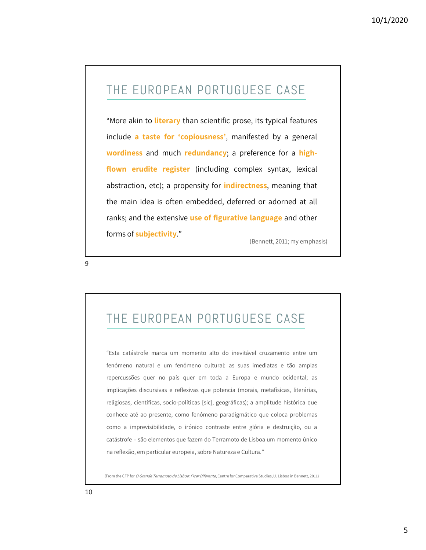## THE EUROPEAN PORTUGUESE CASE

THE EUROPEAN PORTUGUESE CASE<br>"More akin to literary than scientific prose, its typical features<br>include a taste for 'copiousness', manifested by a general THE EUROPEAN PORTUGUESE CASE<br>
"More akin to literary than scientific prose, its typical features<br>
include a taste for 'copiousness', manifested by a general<br>
wordiness and much redundancy; a preference for a high-THE EUROPEAN PORTUGUESE CASE<br>
"More akin to literary than scientific prose, its typical features<br>
include **a taste for 'copiousness'**, manifested by a general<br> **wordiness** and much redundancy; a preference for a high-<br> **fl** THE EUROPEAN PORTUGUESE CASE<br>
"More akin to literary than scientific prose, its typical features<br>
include **a taste for 'copiousness'**, manifested by a general<br> **wordiness** and much redundancy; a preference for a high-<br> **fl** "More akin to literary than scientific prose, its typical features<br>include **a taste for 'copiousness'**, manifested by a general<br>wordiness and much redundancy; a preference for a high-<br>flown erudite register (including comp "More akin to literary than scientific prose, its typical features<br>include **a taste for 'copiousness'**, manifested by a general<br>**wordiness** and much **redundancy**; a preference for a **high-**<br>**flown erudite register** (includ include **a taste for 'copiousness'**, manifested by a general<br> **wordiness** and much **redundancy**; a preference for a **high-**<br> **flown erudite register** (including complex syntax, lexical<br>
abstraction, etc); a propensity for wordiness and much redundancy; a<br>flown erudite register (including constants abstraction, etc); a propensity for indit<br>the main idea is often embedded, deformanks; and the extensive use of figuration<br>forms of subjectivity.

(Bennett, 2011; my emphasis)

THE EUROPEAN PORTUGUESE CASE

9

THE EUROPEAN PORTUGUESE CASE<br>"Esta catástrofe marca um momento alto do inevitável cruzamento entre um<br>fenómeno natural e um fenómeno cultural: as suas imediatas e tão amplas<br>repercussões quer no país quer em toda a Europa THE EUROPEAN PORTUGUESE CASE<br>"Esta catástrofe marca um momento alto do inevitável cruzamento entre um<br>fenómeno natural e um fenómeno cultural: as suas imediatas e tão amplas<br>repercussões quer no país quer em toda a Europa THE EUROPEAN PORTUGUESE CASE<br>"Esta catástrofe marca um momento alto do inevitável cruzamento entre um<br>fenómeno natural e um fenómeno cultural: as suas imediatas e tão amplas<br>repercussões quer no país quer em toda a Europa THE EUROPEAN PORTUGUESE CASE<br>"Esta catástrofe marca um momento alto do inevitável cruzamento entre um<br>fenómeno natural e um fenómeno cultural: as suas imediatas e tão amplas<br>repercussões quer no país quer em toda a Europa IFTE EURUPEAIN PURTUUQUESE CASE<br>
"Esta catástrofe marca um momento alto do inevitável cruzamento entre um<br>
fenómeno natural e um fenómeno cultural: as suas imediatas e tão amplas<br>
repercussões quer no país quer em toda a E "Esta catástrofe marca um momento alto do inevitável cruzamento entre um<br>fenómeno natural e um fenómeno cultural: as suas imediatas e tão amplas<br>repercussões quer no país quer em toda a Europa e mundo ocidental; as<br>implica "Esta catástrofe marca um momento alto do inevitável cruzamento entre um<br>fenómeno natural e um fenómeno cultural: as suas imediatas e tão amplas<br>repercussões quer no país quer em toda a Europa e mundo ocidental; as<br>implica Example – são elementos e um momento entre de la meridada de tão amplas<br>repercussões quer no país quer em toda a Europa e mundo ocidental; as<br>implicações discursivas e reflexivas que potencia (morais, metafísicas, literári repercussões quer no país quer em toda a Europa e mundo ocidental; as<br>implicações discursivas e reflexivas que potencia (morais, metafísicas, literárias,<br>religiosas, científicas, socio-políticas [sic], geográficas); a ampl

(From the CFP for O Grande Terramoto de Lisboa: Ficar Diferente, Centre for Comparative Studies, U. Lisboa in Bennett, 2011)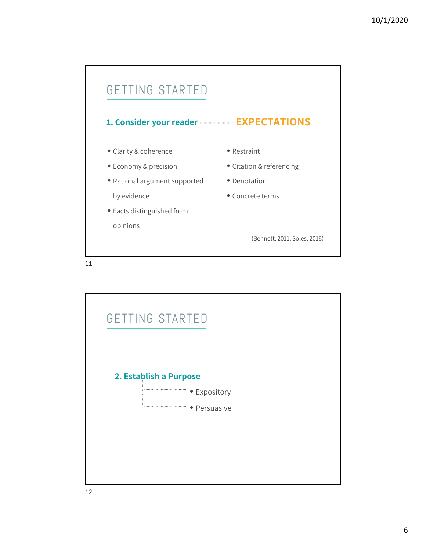

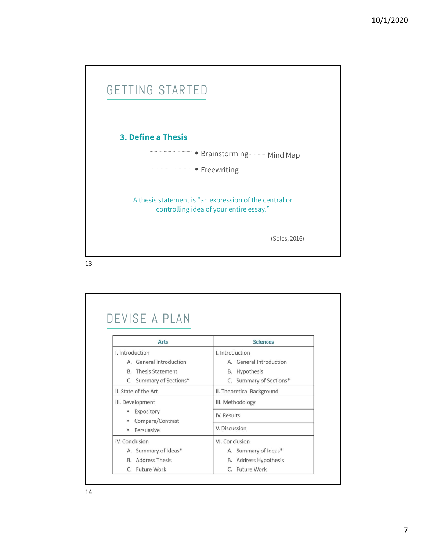

| <b>Arts</b>                                                                                     | <b>Sciences</b>            |
|-------------------------------------------------------------------------------------------------|----------------------------|
| I. Introduction                                                                                 | I. Introduction            |
| A. General Introduction                                                                         | A. General Introduction    |
| <b>B.</b> Thesis Statement                                                                      | B. Hypothesis              |
| C. Summary of Sections*                                                                         | C. Summary of Sections*    |
| II. State of the Art                                                                            | II. Theoretical Background |
| III. Development<br>Expository<br>$\bullet$<br>Compare/Contrast<br>۰<br>Persuasive<br>$\bullet$ | III. Methodology           |
|                                                                                                 | IV. Results                |
|                                                                                                 | V. Discussion              |
| IV. Conclusion                                                                                  | VI. Conclusion             |
| A. Summary of Ideas*                                                                            | A. Summary of Ideas*       |
| <b>B.</b> Address Thesis                                                                        | B. Address Hypothesis      |
| C. Future Work                                                                                  | C. Future Work             |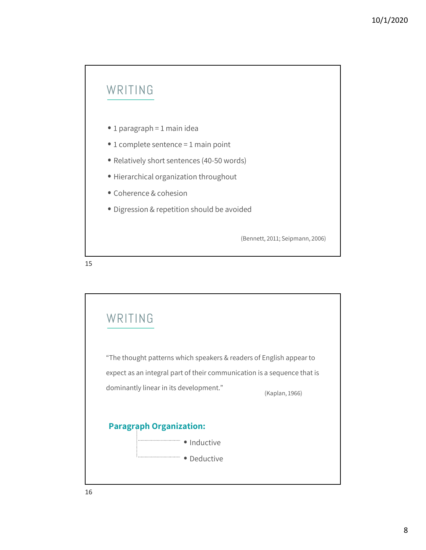## WRITING

- 
- WRITING<br>• 1 paragraph = 1 main idea<br>• 1 complete sentence = 1 main point
- WRITING<br>• 1 paragraph = 1 main idea<br>• 1 complete sentence = 1 main point<br>• Relatively short sentences (40-50 words) • Relatively short sentences (40-50 words)
- Hierarchical organization throughout
- 
- 1 paragraph = 1 main idea<br>• 1 complete sentence = 1 main point<br>• Relatively short sentences (40-50 words)<br>• Hierarchical organization throughout<br>• Coherence & cohesion<br>• Digression & repetition should be avoided • 1 paragraph = 1 main idea<br>• 1 complete sentence = 1 main point<br>• Relatively short sentences (40-50 words)<br>• Hierarchical organization throughout<br>• Coherence & cohesion<br>• Digression & repetition should be avoided

(Bennett, 2011; Seipmann, 2006)

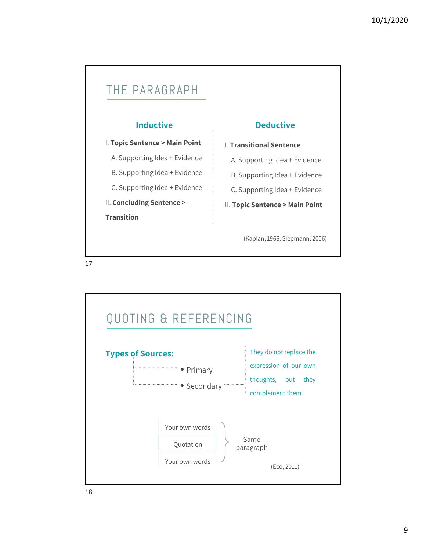

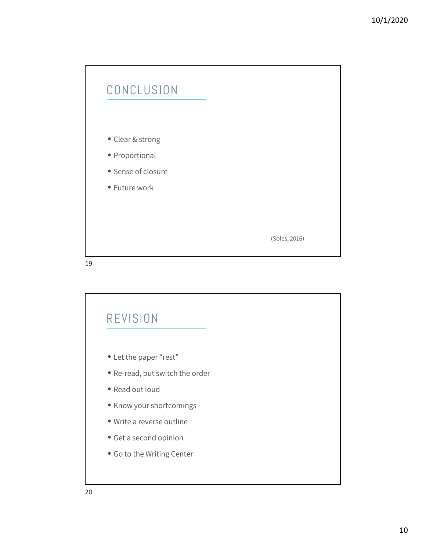